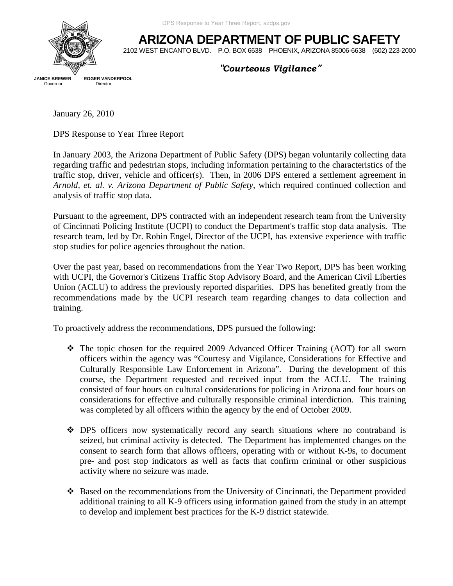

**ARIZONA DEPARTMENT OF PUBLIC SAFETY** 

2102 WEST ENCANTO BLVD. P.O. BOX 6638 PHOENIX, ARIZONA 85006-6638 (602) 223-2000

**"***Courteous Vigilance***"** 

Governor

**JANICE BREWER** ROGER VANDERPOOL **Governor** 

January 26, 2010

DPS Response to Year Three Report

In January 2003, the Arizona Department of Public Safety (DPS) began voluntarily collecting data regarding traffic and pedestrian stops, including information pertaining to the characteristics of the traffic stop, driver, vehicle and officer(s). Then, in 2006 DPS entered a settlement agreement in *Arnold, et. al. v. Arizona Department of Public Safety*, which required continued collection and analysis of traffic stop data.

Pursuant to the agreement, DPS contracted with an independent research team from the University of Cincinnati Policing Institute (UCPI) to conduct the Department's traffic stop data analysis. The research team, led by Dr. Robin Engel, Director of the UCPI, has extensive experience with traffic stop studies for police agencies throughout the nation.

Over the past year, based on recommendations from the Year Two Report, DPS has been working with UCPI, the Governor's Citizens Traffic Stop Advisory Board, and the American Civil Liberties Union (ACLU) to address the previously reported disparities. DPS has benefited greatly from the recommendations made by the UCPI research team regarding changes to data collection and training.

To proactively address the recommendations, DPS pursued the following:

- The topic chosen for the required 2009 Advanced Officer Training (AOT) for all sworn officers within the agency was "Courtesy and Vigilance, Considerations for Effective and Culturally Responsible Law Enforcement in Arizona". During the development of this course, the Department requested and received input from the ACLU. The training consisted of four hours on cultural considerations for policing in Arizona and four hours on considerations for effective and culturally responsible criminal interdiction. This training was completed by all officers within the agency by the end of October 2009.
- DPS officers now systematically record any search situations where no contraband is seized, but criminal activity is detected. The Department has implemented changes on the consent to search form that allows officers, operating with or without K-9s, to document pre- and post stop indicators as well as facts that confirm criminal or other suspicious activity where no seizure was made.
- Based on the recommendations from the University of Cincinnati, the Department provided additional training to all K-9 officers using information gained from the study in an attempt to develop and implement best practices for the K-9 district statewide.